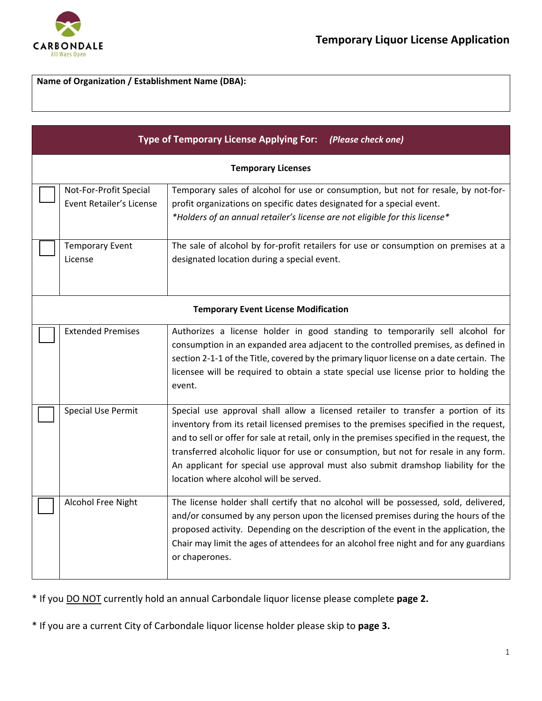

**Name of Organization / Establishment Name (DBA):** 

| Type of Temporary License Applying For: (Please check one) |                                                    |                                                                                                                                                                                                                                                                                                                                                                                                                                                                                                  |  |  |  |
|------------------------------------------------------------|----------------------------------------------------|--------------------------------------------------------------------------------------------------------------------------------------------------------------------------------------------------------------------------------------------------------------------------------------------------------------------------------------------------------------------------------------------------------------------------------------------------------------------------------------------------|--|--|--|
| <b>Temporary Licenses</b>                                  |                                                    |                                                                                                                                                                                                                                                                                                                                                                                                                                                                                                  |  |  |  |
|                                                            | Not-For-Profit Special<br>Event Retailer's License | Temporary sales of alcohol for use or consumption, but not for resale, by not-for-<br>profit organizations on specific dates designated for a special event.<br>*Holders of an annual retailer's license are not eligible for this license*                                                                                                                                                                                                                                                      |  |  |  |
|                                                            | <b>Temporary Event</b><br>License                  | The sale of alcohol by for-profit retailers for use or consumption on premises at a<br>designated location during a special event.                                                                                                                                                                                                                                                                                                                                                               |  |  |  |
|                                                            | <b>Temporary Event License Modification</b>        |                                                                                                                                                                                                                                                                                                                                                                                                                                                                                                  |  |  |  |
|                                                            | <b>Extended Premises</b>                           | Authorizes a license holder in good standing to temporarily sell alcohol for<br>consumption in an expanded area adjacent to the controlled premises, as defined in<br>section 2-1-1 of the Title, covered by the primary liquor license on a date certain. The<br>licensee will be required to obtain a state special use license prior to holding the<br>event.                                                                                                                                 |  |  |  |
|                                                            | <b>Special Use Permit</b>                          | Special use approval shall allow a licensed retailer to transfer a portion of its<br>inventory from its retail licensed premises to the premises specified in the request,<br>and to sell or offer for sale at retail, only in the premises specified in the request, the<br>transferred alcoholic liquor for use or consumption, but not for resale in any form.<br>An applicant for special use approval must also submit dramshop liability for the<br>location where alcohol will be served. |  |  |  |
|                                                            | Alcohol Free Night                                 | The license holder shall certify that no alcohol will be possessed, sold, delivered,<br>and/or consumed by any person upon the licensed premises during the hours of the<br>proposed activity. Depending on the description of the event in the application, the<br>Chair may limit the ages of attendees for an alcohol free night and for any guardians<br>or chaperones.                                                                                                                      |  |  |  |

\* If you DO NOT currently hold an annual Carbondale liquor license please complete **page 2.**

\* If you are a current City of Carbondale liquor license holder please skip to **page 3.**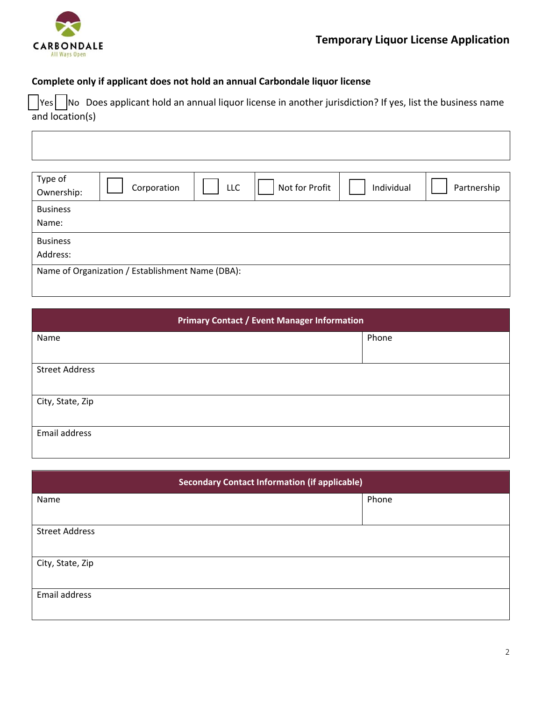

## **Complete only if applicant does not hold an annual Carbondale liquor license**

 $|{\sf v}_{\sf es}|$   $|{\sf No}|$  Does applicant hold an annual liquor license in another jurisdiction? If yes, list the business name and location(s)

| Type of<br>Ownership:                            | Corporation | LLC | Not for Profit | Individual | Partnership |
|--------------------------------------------------|-------------|-----|----------------|------------|-------------|
| <b>Business</b><br>Name:                         |             |     |                |            |             |
| <b>Business</b><br>Address:                      |             |     |                |            |             |
| Name of Organization / Establishment Name (DBA): |             |     |                |            |             |

| <b>Primary Contact / Event Manager Information</b> |       |  |  |
|----------------------------------------------------|-------|--|--|
| Name                                               | Phone |  |  |
|                                                    |       |  |  |
| <b>Street Address</b>                              |       |  |  |
|                                                    |       |  |  |
| City, State, Zip                                   |       |  |  |
|                                                    |       |  |  |
| Email address                                      |       |  |  |
|                                                    |       |  |  |

| <b>Secondary Contact Information (if applicable)</b> |  |       |  |
|------------------------------------------------------|--|-------|--|
| Name                                                 |  | Phone |  |
|                                                      |  |       |  |
| <b>Street Address</b>                                |  |       |  |
|                                                      |  |       |  |
| City, State, Zip                                     |  |       |  |
|                                                      |  |       |  |
| Email address                                        |  |       |  |
|                                                      |  |       |  |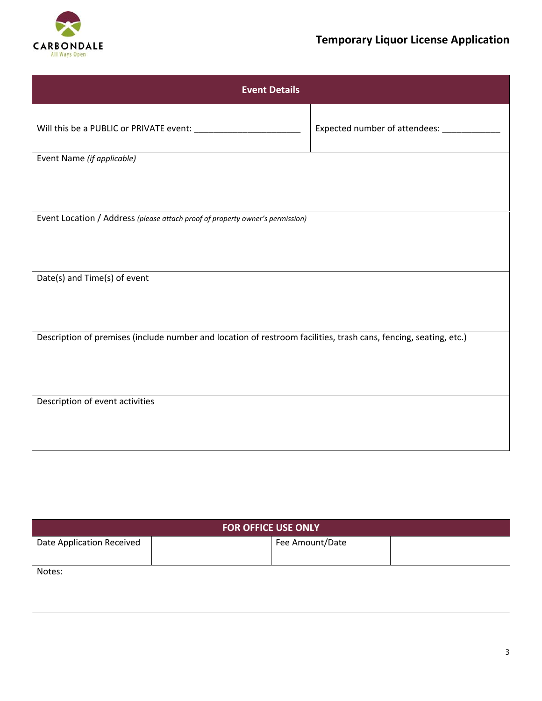

## **Temporary Liquor License Application**

| <b>Event Details</b>                                                                                             |                                  |  |  |  |
|------------------------------------------------------------------------------------------------------------------|----------------------------------|--|--|--|
|                                                                                                                  | Expected number of attendees: __ |  |  |  |
| Event Name (if applicable)                                                                                       |                                  |  |  |  |
|                                                                                                                  |                                  |  |  |  |
|                                                                                                                  |                                  |  |  |  |
| Event Location / Address (please attach proof of property owner's permission)                                    |                                  |  |  |  |
|                                                                                                                  |                                  |  |  |  |
|                                                                                                                  |                                  |  |  |  |
| Date(s) and Time(s) of event                                                                                     |                                  |  |  |  |
|                                                                                                                  |                                  |  |  |  |
|                                                                                                                  |                                  |  |  |  |
| Description of premises (include number and location of restroom facilities, trash cans, fencing, seating, etc.) |                                  |  |  |  |
|                                                                                                                  |                                  |  |  |  |
|                                                                                                                  |                                  |  |  |  |
| Description of event activities                                                                                  |                                  |  |  |  |
|                                                                                                                  |                                  |  |  |  |
|                                                                                                                  |                                  |  |  |  |

| <b>FOR OFFICE USE ONLY</b> |  |                 |  |  |  |
|----------------------------|--|-----------------|--|--|--|
| Date Application Received  |  | Fee Amount/Date |  |  |  |
|                            |  |                 |  |  |  |
| Notes:                     |  |                 |  |  |  |
|                            |  |                 |  |  |  |
|                            |  |                 |  |  |  |
|                            |  |                 |  |  |  |